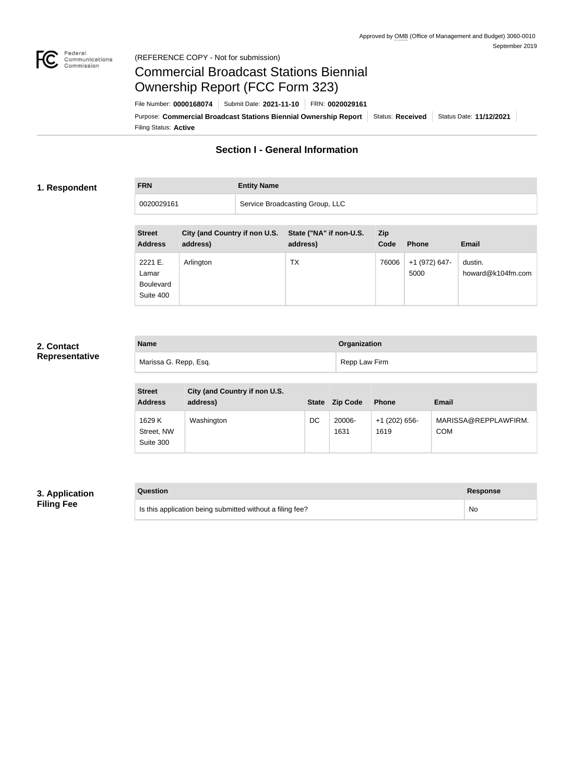

## Federal<br>Communications<br>Commission (REFERENCE COPY - Not for submission)

## Commercial Broadcast Stations Biennial Ownership Report (FCC Form 323)

Filing Status: **Active** Purpose: Commercial Broadcast Stations Biennial Ownership Report Status: Received Status Date: 11/12/2021 File Number: **0000168074** Submit Date: **2021-11-10** FRN: **0020029161**

## **Section I - General Information**

## **1. Respondent**

**FRN Entity Name**

0020029161 Service Broadcasting Group, LLC

| <b>Street</b><br><b>City (and Country if non U.S.</b><br>State ("NA" if non-U.S.<br><b>Zip</b><br><b>Address</b><br>address)<br>address)<br>Code<br>Email<br><b>Phone</b><br>ТX<br>2221 E.<br>76006<br>+1 (972) 647-<br>dustin.<br>Arlington<br>howard@k104fm.com<br>5000<br>Lamar<br><b>Boulevard</b> |           |  |  |  |
|--------------------------------------------------------------------------------------------------------------------------------------------------------------------------------------------------------------------------------------------------------------------------------------------------------|-----------|--|--|--|
|                                                                                                                                                                                                                                                                                                        |           |  |  |  |
|                                                                                                                                                                                                                                                                                                        |           |  |  |  |
|                                                                                                                                                                                                                                                                                                        |           |  |  |  |
|                                                                                                                                                                                                                                                                                                        |           |  |  |  |
|                                                                                                                                                                                                                                                                                                        |           |  |  |  |
|                                                                                                                                                                                                                                                                                                        |           |  |  |  |
|                                                                                                                                                                                                                                                                                                        | Suite 400 |  |  |  |

## **2. Contact Representative**

| <b>Name</b>           | Organization  |
|-----------------------|---------------|
| Marissa G. Repp, Esq. | Repp Law Firm |

| <b>Street</b><br><b>Address</b>   | City (and Country if non U.S.<br>address) | <b>State</b> | <b>Zip Code</b> | <b>Phone</b>            | Email                              |
|-----------------------------------|-------------------------------------------|--------------|-----------------|-------------------------|------------------------------------|
| 1629 K<br>Street, NW<br>Suite 300 | Washington                                | DC           | 20006-<br>1631  | $+1$ (202) 656-<br>1619 | MARISSA@REPPLAWFIRM.<br><b>COM</b> |

## **3. Application Filing Fee**

| Question                                                  | Response |
|-----------------------------------------------------------|----------|
| Is this application being submitted without a filing fee? | No.      |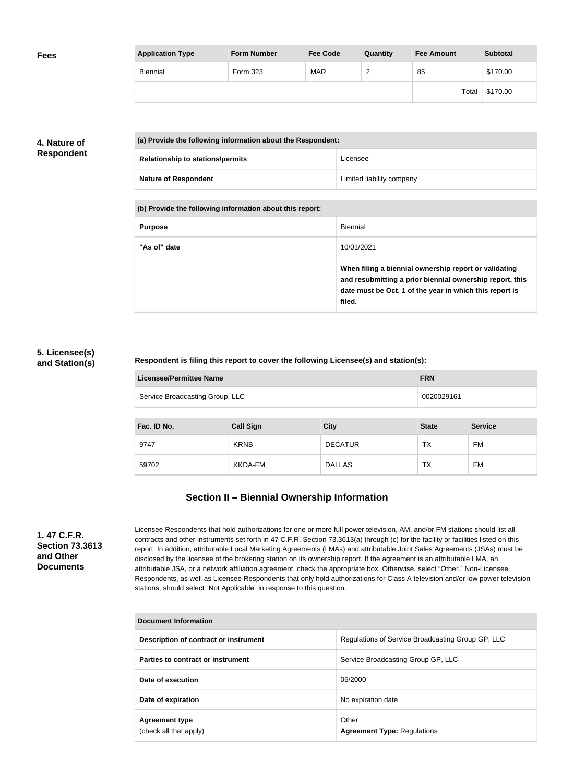| <b>Fees</b> | <b>Application Type</b> | <b>Form Number</b> | <b>Fee Code</b> | Quantity               | <b>Fee Amount</b> | <b>Subtotal</b> |
|-------------|-------------------------|--------------------|-----------------|------------------------|-------------------|-----------------|
|             | Biennial                | Form 323           | <b>MAR</b>      | $\sqrt{2}$<br><u>_</u> | 85                | \$170.00        |
|             |                         |                    |                 |                        | Total             | \$170.00        |

## **4. Nature of Respondent**

| (a) Provide the following information about the Respondent: |                           |
|-------------------------------------------------------------|---------------------------|
| <b>Relationship to stations/permits</b>                     | Licensee                  |
| <b>Nature of Respondent</b>                                 | Limited liability company |

**(b) Provide the following information about this report:**

| <b>Purpose</b> | Biennial                                                                                                                                                                               |
|----------------|----------------------------------------------------------------------------------------------------------------------------------------------------------------------------------------|
| "As of" date   | 10/01/2021                                                                                                                                                                             |
|                | When filing a biennial ownership report or validating<br>and resubmitting a prior biennial ownership report, this<br>date must be Oct. 1 of the year in which this report is<br>filed. |

## **5. Licensee(s) and Station(s)**

## **Respondent is filing this report to cover the following Licensee(s) and station(s):**

| Licensee/Permittee Name         | <b>FRN</b> |
|---------------------------------|------------|
| Service Broadcasting Group, LLC | 0020029161 |

| Fac. ID No. | <b>Call Sign</b> | <b>City</b>    | <b>State</b> | <b>Service</b> |
|-------------|------------------|----------------|--------------|----------------|
| 9747        | <b>KRNB</b>      | <b>DECATUR</b> | TX           | FM             |
| 59702       | KKDA-FM          | <b>DALLAS</b>  | <b>TX</b>    | <b>FM</b>      |

## **Section II – Biennial Ownership Information**

**1. 47 C.F.R. Section 73.3613 and Other Documents**

Licensee Respondents that hold authorizations for one or more full power television, AM, and/or FM stations should list all contracts and other instruments set forth in 47 C.F.R. Section 73.3613(a) through (c) for the facility or facilities listed on this report. In addition, attributable Local Marketing Agreements (LMAs) and attributable Joint Sales Agreements (JSAs) must be disclosed by the licensee of the brokering station on its ownership report. If the agreement is an attributable LMA, an attributable JSA, or a network affiliation agreement, check the appropriate box. Otherwise, select "Other." Non-Licensee Respondents, as well as Licensee Respondents that only hold authorizations for Class A television and/or low power television stations, should select "Not Applicable" in response to this question.

| Document Information                            |                                                   |  |
|-------------------------------------------------|---------------------------------------------------|--|
| Description of contract or instrument           | Regulations of Service Broadcasting Group GP, LLC |  |
| Parties to contract or instrument               | Service Broadcasting Group GP, LLC                |  |
| Date of execution                               | 05/2000                                           |  |
| Date of expiration                              | No expiration date                                |  |
| <b>Agreement type</b><br>(check all that apply) | Other<br><b>Agreement Type: Regulations</b>       |  |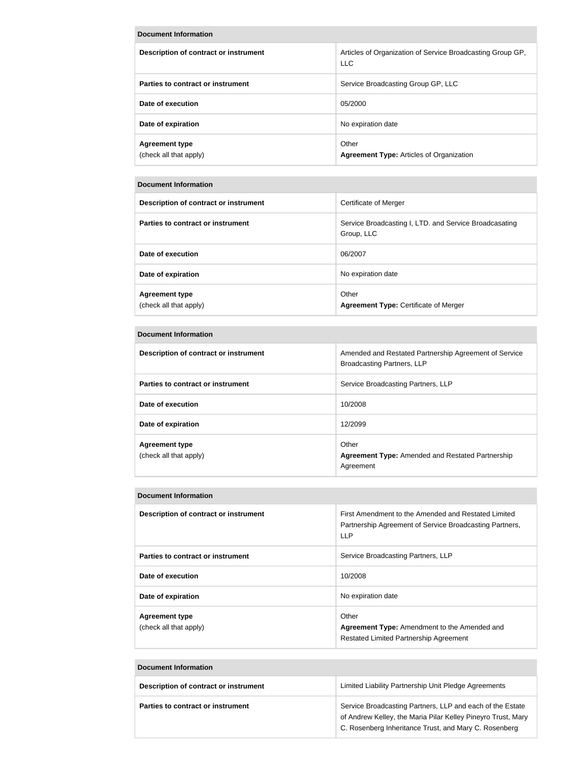#### **Document Information**

| Description of contract or instrument           | Articles of Organization of Service Broadcasting Group GP,<br><b>LLC</b> |
|-------------------------------------------------|--------------------------------------------------------------------------|
| Parties to contract or instrument               | Service Broadcasting Group GP, LLC                                       |
| Date of execution                               | 05/2000                                                                  |
| Date of expiration                              | No expiration date                                                       |
| <b>Agreement type</b><br>(check all that apply) | Other<br><b>Agreement Type: Articles of Organization</b>                 |

#### **Document Information**

| Description of contract or instrument           | Certificate of Merger                                                |
|-------------------------------------------------|----------------------------------------------------------------------|
| Parties to contract or instrument               | Service Broadcasting I, LTD. and Service Broadcasating<br>Group, LLC |
| Date of execution                               | 06/2007                                                              |
| Date of expiration                              | No expiration date                                                   |
| <b>Agreement type</b><br>(check all that apply) | Other<br><b>Agreement Type: Certificate of Merger</b>                |

## **Document Information**

| Description of contract or instrument           | Amended and Restated Partnership Agreement of Service<br><b>Broadcasting Partners, LLP</b> |
|-------------------------------------------------|--------------------------------------------------------------------------------------------|
| Parties to contract or instrument               | Service Broadcasting Partners, LLP                                                         |
| Date of execution                               | 10/2008                                                                                    |
| Date of expiration                              | 12/2099                                                                                    |
| <b>Agreement type</b><br>(check all that apply) | Other<br><b>Agreement Type:</b> Amended and Restated Partnership<br>Agreement              |

#### **Document Information**

| <b>Description of contract or instrument</b> | First Amendment to the Amended and Restated Limited     |
|----------------------------------------------|---------------------------------------------------------|
|                                              | Partnership Agreement of Service Broadcasting Partners, |
|                                              | <b>LLP</b>                                              |
| Parties to contract or instrument            | Service Broadcasting Partners, LLP                      |
|                                              |                                                         |
| Date of execution                            | 10/2008                                                 |
|                                              |                                                         |
| Date of expiration                           | No expiration date                                      |
|                                              |                                                         |
| <b>Agreement type</b>                        | Other                                                   |
| (check all that apply)                       | Agreement Type: Amendment to the Amended and            |
|                                              | <b>Restated Limited Partnership Agreement</b>           |

| <b>Document Information</b>           |                                                                                                                                                                                    |  |  |  |
|---------------------------------------|------------------------------------------------------------------------------------------------------------------------------------------------------------------------------------|--|--|--|
| Description of contract or instrument | Limited Liability Partnership Unit Pledge Agreements                                                                                                                               |  |  |  |
| Parties to contract or instrument     | Service Broadcasting Partners, LLP and each of the Estate<br>of Andrew Kelley, the Maria Pilar Kelley Pineyro Trust, Mary<br>C. Rosenberg Inheritance Trust, and Mary C. Rosenberg |  |  |  |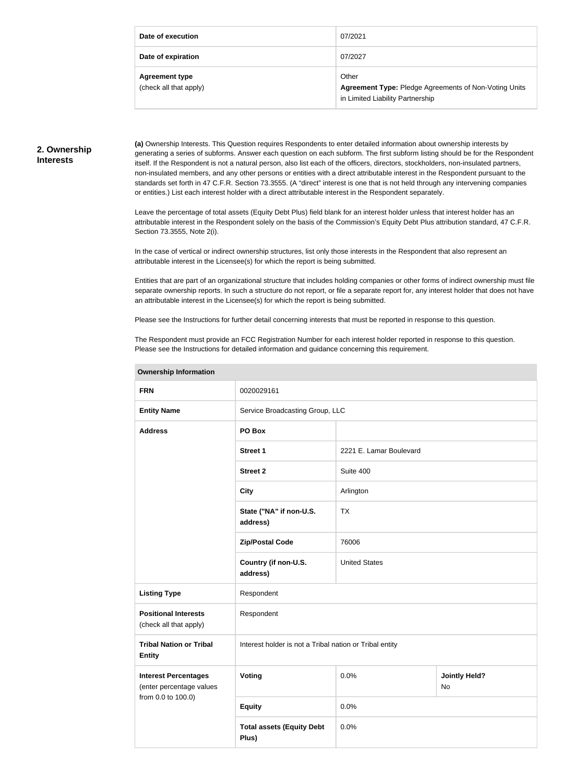| Date of execution                               | 07/2021                                                                                            |
|-------------------------------------------------|----------------------------------------------------------------------------------------------------|
| Date of expiration                              | 07/2027                                                                                            |
| <b>Agreement type</b><br>(check all that apply) | Other<br>Agreement Type: Pledge Agreements of Non-Voting Units<br>in Limited Liability Partnership |

#### **2. Ownership Interests**

**(a)** Ownership Interests. This Question requires Respondents to enter detailed information about ownership interests by generating a series of subforms. Answer each question on each subform. The first subform listing should be for the Respondent itself. If the Respondent is not a natural person, also list each of the officers, directors, stockholders, non-insulated partners, non-insulated members, and any other persons or entities with a direct attributable interest in the Respondent pursuant to the standards set forth in 47 C.F.R. Section 73.3555. (A "direct" interest is one that is not held through any intervening companies or entities.) List each interest holder with a direct attributable interest in the Respondent separately.

Leave the percentage of total assets (Equity Debt Plus) field blank for an interest holder unless that interest holder has an attributable interest in the Respondent solely on the basis of the Commission's Equity Debt Plus attribution standard, 47 C.F.R. Section 73.3555, Note 2(i).

In the case of vertical or indirect ownership structures, list only those interests in the Respondent that also represent an attributable interest in the Licensee(s) for which the report is being submitted.

Entities that are part of an organizational structure that includes holding companies or other forms of indirect ownership must file separate ownership reports. In such a structure do not report, or file a separate report for, any interest holder that does not have an attributable interest in the Licensee(s) for which the report is being submitted.

Please see the Instructions for further detail concerning interests that must be reported in response to this question.

**Ownership Information**

The Respondent must provide an FCC Registration Number for each interest holder reported in response to this question. Please see the Instructions for detailed information and guidance concerning this requirement.

| <b>FRN</b>                                                                    | 0020029161                                              |                         |                                   |  |
|-------------------------------------------------------------------------------|---------------------------------------------------------|-------------------------|-----------------------------------|--|
| <b>Entity Name</b>                                                            | Service Broadcasting Group, LLC                         |                         |                                   |  |
| <b>Address</b>                                                                | PO Box                                                  |                         |                                   |  |
|                                                                               | <b>Street 1</b>                                         | 2221 E. Lamar Boulevard |                                   |  |
|                                                                               | <b>Street 2</b>                                         | Suite 400               |                                   |  |
|                                                                               | <b>City</b>                                             | Arlington               |                                   |  |
|                                                                               | State ("NA" if non-U.S.<br>address)                     | <b>TX</b>               |                                   |  |
|                                                                               | <b>Zip/Postal Code</b>                                  | 76006                   |                                   |  |
|                                                                               | Country (if non-U.S.<br>address)                        | <b>United States</b>    |                                   |  |
| <b>Listing Type</b>                                                           | Respondent                                              |                         |                                   |  |
| <b>Positional Interests</b><br>(check all that apply)                         | Respondent                                              |                         |                                   |  |
| <b>Tribal Nation or Tribal</b><br><b>Entity</b>                               | Interest holder is not a Tribal nation or Tribal entity |                         |                                   |  |
| <b>Interest Percentages</b><br>(enter percentage values<br>from 0.0 to 100.0) | Voting                                                  | 0.0%                    | <b>Jointly Held?</b><br><b>No</b> |  |
|                                                                               | <b>Equity</b>                                           | 0.0%                    |                                   |  |
|                                                                               | <b>Total assets (Equity Debt</b><br>Plus)               | 0.0%                    |                                   |  |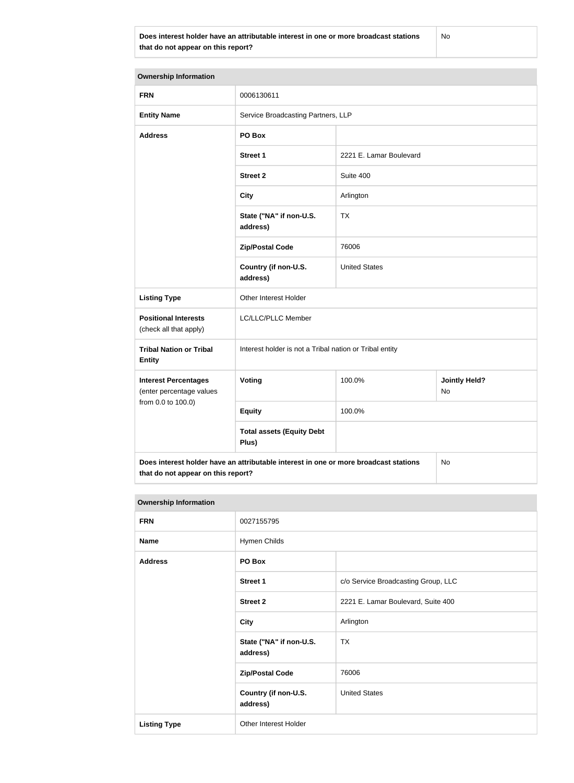**Does interest holder have an attributable interest in one or more broadcast stations that do not appear on this report?**

No

| <b>Ownership Information</b>                            |                                                                                      |                         |                            |  |
|---------------------------------------------------------|--------------------------------------------------------------------------------------|-------------------------|----------------------------|--|
| <b>FRN</b>                                              | 0006130611                                                                           |                         |                            |  |
| <b>Entity Name</b>                                      | Service Broadcasting Partners, LLP                                                   |                         |                            |  |
| <b>Address</b>                                          | PO Box                                                                               |                         |                            |  |
|                                                         | <b>Street 1</b>                                                                      | 2221 E. Lamar Boulevard |                            |  |
|                                                         | <b>Street 2</b>                                                                      | Suite 400               |                            |  |
|                                                         | <b>City</b>                                                                          | Arlington               |                            |  |
|                                                         | State ("NA" if non-U.S.<br>address)                                                  | <b>TX</b>               |                            |  |
|                                                         | <b>Zip/Postal Code</b>                                                               | 76006                   |                            |  |
|                                                         | Country (if non-U.S.<br>address)                                                     | <b>United States</b>    |                            |  |
| <b>Listing Type</b>                                     | Other Interest Holder                                                                |                         |                            |  |
| <b>Positional Interests</b><br>(check all that apply)   | LC/LLC/PLLC Member                                                                   |                         |                            |  |
| <b>Tribal Nation or Tribal</b><br><b>Entity</b>         | Interest holder is not a Tribal nation or Tribal entity                              |                         |                            |  |
| <b>Interest Percentages</b><br>(enter percentage values | Voting                                                                               | 100.0%                  | <b>Jointly Held?</b><br>No |  |
| from 0.0 to 100.0)                                      | <b>Equity</b>                                                                        | 100.0%                  |                            |  |
|                                                         | <b>Total assets (Equity Debt</b><br>Plus)                                            |                         |                            |  |
|                                                         | Does interest holder have an attributable interest in one or more broadcast stations |                         | No                         |  |

# **that do not appear on this report?**

| <b>Ownership Information</b> |                                     |                                     |
|------------------------------|-------------------------------------|-------------------------------------|
| <b>FRN</b>                   | 0027155795                          |                                     |
| <b>Name</b>                  | Hymen Childs                        |                                     |
| <b>Address</b>               | PO Box                              |                                     |
|                              | Street 1                            | c/o Service Broadcasting Group, LLC |
|                              | <b>Street 2</b>                     | 2221 E. Lamar Boulevard, Suite 400  |
|                              | <b>City</b>                         | Arlington                           |
|                              | State ("NA" if non-U.S.<br>address) | <b>TX</b>                           |
|                              | <b>Zip/Postal Code</b>              | 76006                               |
|                              | Country (if non-U.S.<br>address)    | <b>United States</b>                |
| <b>Listing Type</b>          | Other Interest Holder               |                                     |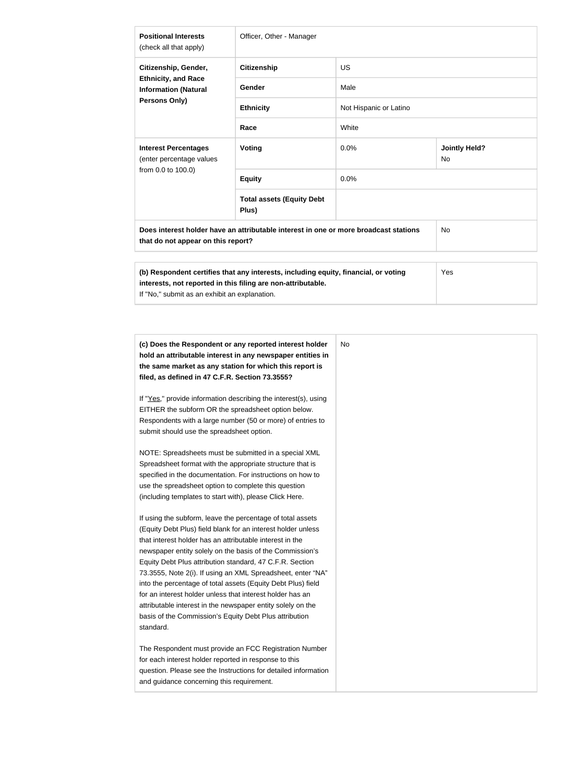| <b>Positional Interests</b><br>(check all that apply)                             | Officer, Other - Manager                                                                                                                            |                        |                            |
|-----------------------------------------------------------------------------------|-----------------------------------------------------------------------------------------------------------------------------------------------------|------------------------|----------------------------|
| Citizenship, Gender,                                                              | <b>Citizenship</b>                                                                                                                                  | <b>US</b>              |                            |
| <b>Ethnicity, and Race</b><br><b>Information (Natural</b><br><b>Persons Only)</b> | Gender                                                                                                                                              | Male                   |                            |
|                                                                                   | <b>Ethnicity</b>                                                                                                                                    | Not Hispanic or Latino |                            |
|                                                                                   | Race                                                                                                                                                | White                  |                            |
| <b>Interest Percentages</b><br>(enter percentage values<br>from 0.0 to 100.0)     | Voting                                                                                                                                              | 0.0%                   | <b>Jointly Held?</b><br>No |
|                                                                                   | <b>Equity</b>                                                                                                                                       | 0.0%                   |                            |
|                                                                                   | <b>Total assets (Equity Debt</b><br>Plus)                                                                                                           |                        |                            |
| that do not appear on this report?                                                | Does interest holder have an attributable interest in one or more broadcast stations                                                                |                        | <b>No</b>                  |
| If "No," submit as an exhibit an explanation.                                     | (b) Respondent certifies that any interests, including equity, financial, or voting<br>interests, not reported in this filing are non-attributable. |                        | Yes                        |